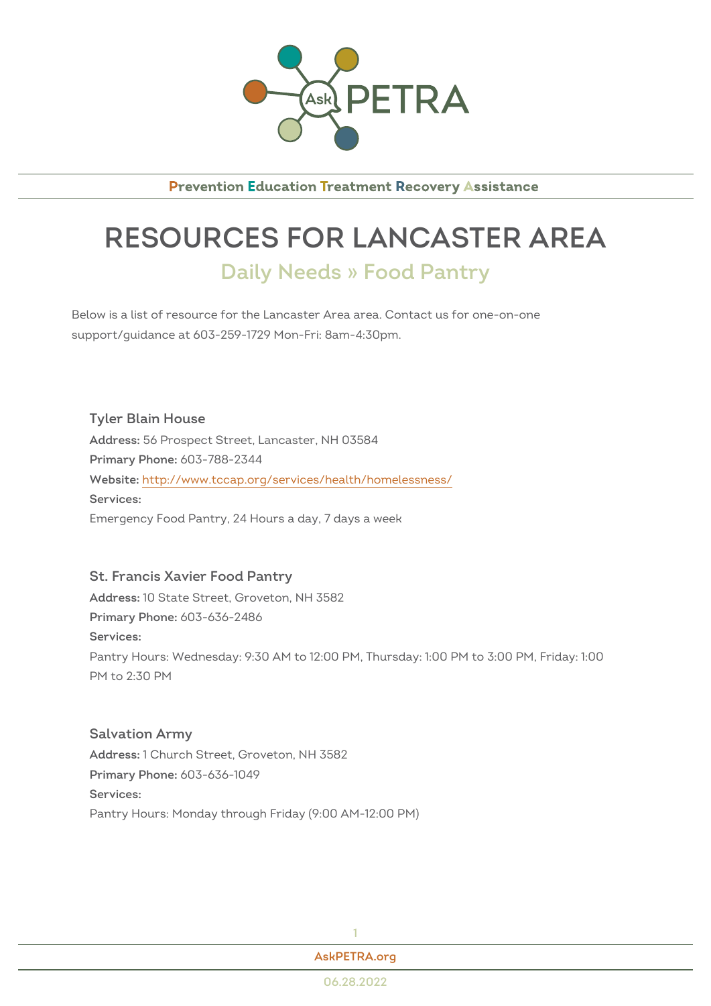

**Prevention Education Treatment Recovery Assistance** 

## RESOURCES FOR LANCASTER Daily Needs » Food Pantry

Below is a list of resource for the Lancaster Area area. Contact us for one support/guidance at 603-259-1729 Mon-Fri: 8am-4:30pm.

Tyler Blain House Addres56 Prospect Street, Lancaster, NH 03584 Primary Phono8: 788-2344 Websithet: tp://www.tccap.org/services/health/homelessness/ Services: Emergency Food Pantry, 24 Hours a day, 7 days a week

St. Francis Xavier Food Pantry Addres\$0 State Street, Groveton, NH 3582 Primary Phono8: 636-2486 Services: Pantry Hours: Wednesday: 9:30 AM to 12:00 PM, Thursday: 1:00 PM to 3: PM to 2:30 PM

Salvation Army Addres\$: Church Street, Groveton, NH 3582 Primary Phono8: 636-1049 Services: Pantry Hours: Monday through Friday (9:00 AM-12:00 PM)

| Ask PETRA.org |  |
|---------------|--|
| 06.28.2022    |  |

1